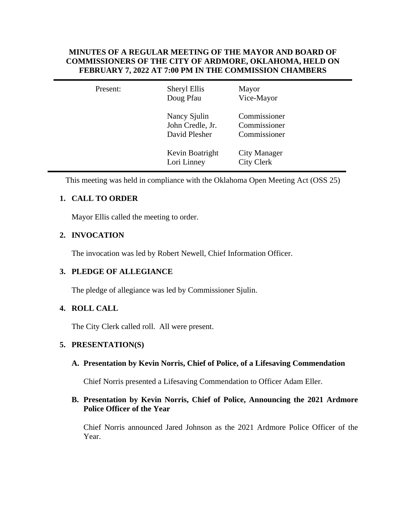## **MINUTES OF A REGULAR MEETING OF THE MAYOR AND BOARD OF COMMISSIONERS OF THE CITY OF ARDMORE, OKLAHOMA, HELD ON FEBRUARY 7, 2022 AT 7:00 PM IN THE COMMISSION CHAMBERS**

| Present: | Sheryl Ellis<br>Doug Pfau                         | Mayor<br>Vice-Mayor                          |  |
|----------|---------------------------------------------------|----------------------------------------------|--|
|          | Nancy Sjulin<br>John Credle, Jr.<br>David Plesher | Commissioner<br>Commissioner<br>Commissioner |  |
|          | Kevin Boatright<br>Lori Linney                    | <b>City Manager</b><br><b>City Clerk</b>     |  |

This meeting was held in compliance with the Oklahoma Open Meeting Act (OSS 25)

# **1. CALL TO ORDER**

Mayor Ellis called the meeting to order.

## **2. INVOCATION**

The invocation was led by Robert Newell, Chief Information Officer.

## **3. PLEDGE OF ALLEGIANCE**

The pledge of allegiance was led by Commissioner Sjulin.

## **4. ROLL CALL**

The City Clerk called roll. All were present.

## **5. PRESENTATION(S)**

## **A. Presentation by Kevin Norris, Chief of Police, of a Lifesaving Commendation**

Chief Norris presented a Lifesaving Commendation to Officer Adam Eller.

## **B. Presentation by Kevin Norris, Chief of Police, Announcing the 2021 Ardmore Police Officer of the Year**

Chief Norris announced Jared Johnson as the 2021 Ardmore Police Officer of the Year.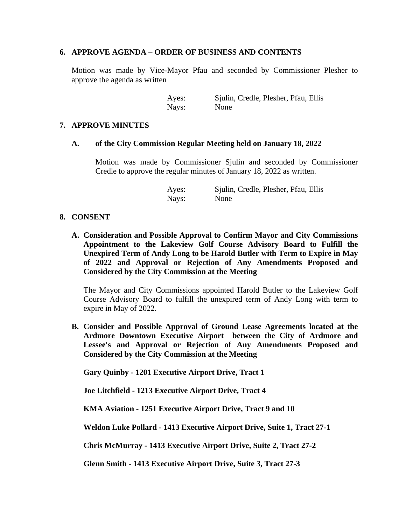## **6. APPROVE AGENDA – ORDER OF BUSINESS AND CONTENTS**

Motion was made by Vice-Mayor Pfau and seconded by Commissioner Plesher to approve the agenda as written

> Ayes: Sjulin, Credle, Plesher, Pfau, Ellis Nays: None

#### **7. APPROVE MINUTES**

#### **A. of the City Commission Regular Meeting held on January 18, 2022**

Motion was made by Commissioner Sjulin and seconded by Commissioner Credle to approve the regular minutes of January 18, 2022 as written.

> Ayes: Sjulin, Credle, Plesher, Pfau, Ellis Nays: None

## **8. CONSENT**

**A. Consideration and Possible Approval to Confirm Mayor and City Commissions Appointment to the Lakeview Golf Course Advisory Board to Fulfill the Unexpired Term of Andy Long to be Harold Butler with Term to Expire in May of 2022 and Approval or Rejection of Any Amendments Proposed and Considered by the City Commission at the Meeting**

The Mayor and City Commissions appointed Harold Butler to the Lakeview Golf Course Advisory Board to fulfill the unexpired term of Andy Long with term to expire in May of 2022.

**B. Consider and Possible Approval of Ground Lease Agreements located at the Ardmore Downtown Executive Airport between the City of Ardmore and Lessee's and Approval or Rejection of Any Amendments Proposed and Considered by the City Commission at the Meeting**

**Gary Quinby - 1201 Executive Airport Drive, Tract 1**

**Joe Litchfield - 1213 Executive Airport Drive, Tract 4**

**KMA Aviation - 1251 Executive Airport Drive, Tract 9 and 10**

**Weldon Luke Pollard - 1413 Executive Airport Drive, Suite 1, Tract 27-1**

**Chris McMurray - 1413 Executive Airport Drive, Suite 2, Tract 27-2**

**Glenn Smith - 1413 Executive Airport Drive, Suite 3, Tract 27-3**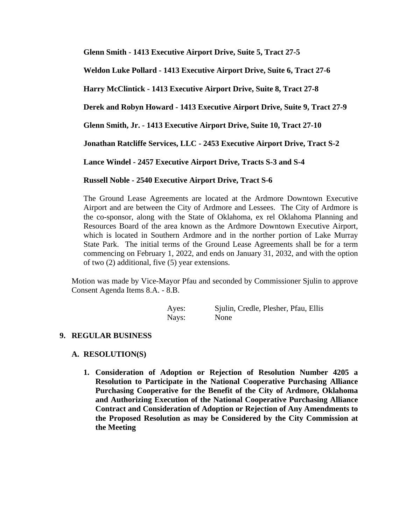**Glenn Smith - 1413 Executive Airport Drive, Suite 5, Tract 27-5**

**Weldon Luke Pollard - 1413 Executive Airport Drive, Suite 6, Tract 27-6**

**Harry McClintick - 1413 Executive Airport Drive, Suite 8, Tract 27-8**

**Derek and Robyn Howard - 1413 Executive Airport Drive, Suite 9, Tract 27-9**

**Glenn Smith, Jr. - 1413 Executive Airport Drive, Suite 10, Tract 27-10**

**Jonathan Ratcliffe Services, LLC - 2453 Executive Airport Drive, Tract S-2**

**Lance Windel - 2457 Executive Airport Drive, Tracts S-3 and S-4**

## **Russell Noble - 2540 Executive Airport Drive, Tract S-6**

The Ground Lease Agreements are located at the Ardmore Downtown Executive Airport and are between the City of Ardmore and Lessees. The City of Ardmore is the co-sponsor, along with the State of Oklahoma, ex rel Oklahoma Planning and Resources Board of the area known as the Ardmore Downtown Executive Airport, which is located in Southern Ardmore and in the norther portion of Lake Murray State Park. The initial terms of the Ground Lease Agreements shall be for a term commencing on February 1, 2022, and ends on January 31, 2032, and with the option of two (2) additional, five (5) year extensions.

Motion was made by Vice-Mayor Pfau and seconded by Commissioner Sjulin to approve Consent Agenda Items 8.A. - 8.B.

| Ayes: | Sjulin, Credle, Plesher, Pfau, Ellis |  |
|-------|--------------------------------------|--|
| Nays: | None                                 |  |

## **9. REGULAR BUSINESS**

## **A. RESOLUTION(S)**

**1. Consideration of Adoption or Rejection of Resolution Number 4205 a Resolution to Participate in the National Cooperative Purchasing Alliance Purchasing Cooperative for the Benefit of the City of Ardmore, Oklahoma and Authorizing Execution of the National Cooperative Purchasing Alliance Contract and Consideration of Adoption or Rejection of Any Amendments to the Proposed Resolution as may be Considered by the City Commission at the Meeting**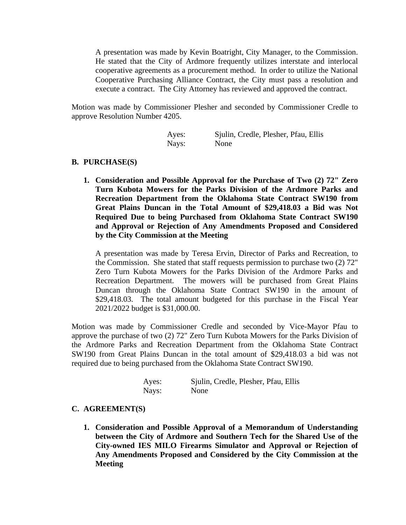A presentation was made by Kevin Boatright, City Manager, to the Commission. He stated that the City of Ardmore frequently utilizes interstate and interlocal cooperative agreements as a procurement method. In order to utilize the National Cooperative Purchasing Alliance Contract, the City must pass a resolution and execute a contract. The City Attorney has reviewed and approved the contract.

Motion was made by Commissioner Plesher and seconded by Commissioner Credle to approve Resolution Number 4205.

| Ayes: | Sjulin, Credle, Plesher, Pfau, Ellis |
|-------|--------------------------------------|
| Nays: | None                                 |

#### **B. PURCHASE(S)**

**1. Consideration and Possible Approval for the Purchase of Two (2) 72" Zero Turn Kubota Mowers for the Parks Division of the Ardmore Parks and Recreation Department from the Oklahoma State Contract SW190 from Great Plains Duncan in the Total Amount of \$29,418.03 a Bid was Not Required Due to being Purchased from Oklahoma State Contract SW190 and Approval or Rejection of Any Amendments Proposed and Considered by the City Commission at the Meeting**

A presentation was made by Teresa Ervin, Director of Parks and Recreation, to the Commission. She stated that staff requests permission to purchase two (2) 72" Zero Turn Kubota Mowers for the Parks Division of the Ardmore Parks and Recreation Department. The mowers will be purchased from Great Plains Duncan through the Oklahoma State Contract SW190 in the amount of \$29,418.03. The total amount budgeted for this purchase in the Fiscal Year 2021/2022 budget is \$31,000.00.

Motion was made by Commissioner Credle and seconded by Vice-Mayor Pfau to approve the purchase of two (2) 72" Zero Turn Kubota Mowers for the Parks Division of the Ardmore Parks and Recreation Department from the Oklahoma State Contract SW190 from Great Plains Duncan in the total amount of \$29,418.03 a bid was not required due to being purchased from the Oklahoma State Contract SW190.

| Ayes: | Sjulin, Credle, Plesher, Pfau, Ellis |
|-------|--------------------------------------|
| Nays: | None                                 |

#### **C. AGREEMENT(S)**

**1. Consideration and Possible Approval of a Memorandum of Understanding between the City of Ardmore and Southern Tech for the Shared Use of the City-owned IES MILO Firearms Simulator and Approval or Rejection of Any Amendments Proposed and Considered by the City Commission at the Meeting**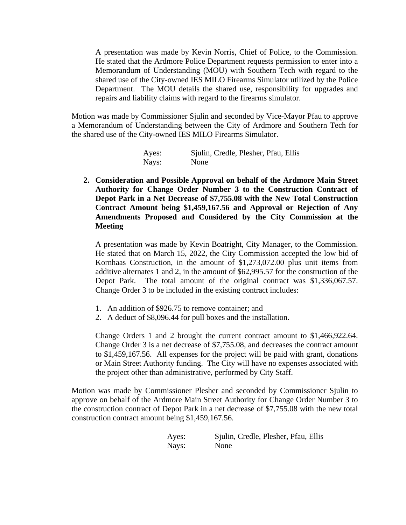A presentation was made by Kevin Norris, Chief of Police, to the Commission. He stated that the Ardmore Police Department requests permission to enter into a Memorandum of Understanding (MOU) with Southern Tech with regard to the shared use of the City-owned IES MILO Firearms Simulator utilized by the Police Department. The MOU details the shared use, responsibility for upgrades and repairs and liability claims with regard to the firearms simulator.

Motion was made by Commissioner Sjulin and seconded by Vice-Mayor Pfau to approve a Memorandum of Understanding between the City of Ardmore and Southern Tech for the shared use of the City-owned IES MILO Firearms Simulator.

| Ayes: | Sjulin, Credle, Plesher, Pfau, Ellis |
|-------|--------------------------------------|
| Nays: | None                                 |

**2. Consideration and Possible Approval on behalf of the Ardmore Main Street Authority for Change Order Number 3 to the Construction Contract of Depot Park in a Net Decrease of \$7,755.08 with the New Total Construction Contract Amount being \$1,459,167.56 and Approval or Rejection of Any Amendments Proposed and Considered by the City Commission at the Meeting**

A presentation was made by Kevin Boatright, City Manager, to the Commission. He stated that on March 15, 2022, the City Commission accepted the low bid of Kornhaas Construction, in the amount of \$1,273,072.00 plus unit items from additive alternates 1 and 2, in the amount of \$62,995.57 for the construction of the Depot Park. The total amount of the original contract was \$1,336,067.57. Change Order 3 to be included in the existing contract includes:

- 1. An addition of \$926.75 to remove container; and
- 2. A deduct of \$8,096.44 for pull boxes and the installation.

Change Orders 1 and 2 brought the current contract amount to \$1,466,922.64. Change Order 3 is a net decrease of \$7,755.08, and decreases the contract amount to \$1,459,167.56. All expenses for the project will be paid with grant, donations or Main Street Authority funding. The City will have no expenses associated with the project other than administrative, performed by City Staff.

Motion was made by Commissioner Plesher and seconded by Commissioner Sjulin to approve on behalf of the Ardmore Main Street Authority for Change Order Number 3 to the construction contract of Depot Park in a net decrease of \$7,755.08 with the new total construction contract amount being \$1,459,167.56.

| Ayes: | Sjulin, Credle, Plesher, Pfau, Ellis |
|-------|--------------------------------------|
| Nays: | None                                 |